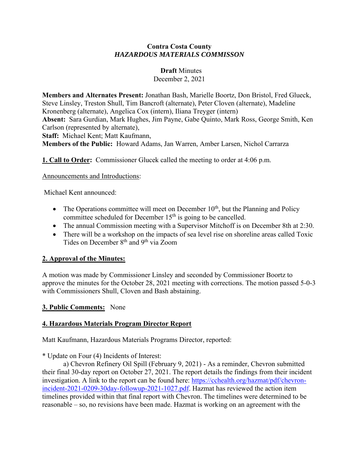#### **Contra Costa County** *HAZARDOUS MATERIALS COMMISSON*

#### **Draft** Minutes

December 2, 2021

**Members and Alternates Present:** Jonathan Bash, Marielle Boortz, Don Bristol, Fred Glueck, Steve Linsley, Treston Shull, Tim Bancroft (alternate), Peter Cloven (alternate), Madeline Kronenberg (alternate), Angelica Cox (intern), Iliana Treyger (intern) **Absent:** Sara Gurdian, Mark Hughes, Jim Payne, Gabe Quinto, Mark Ross, George Smith, Ken Carlson (represented by alternate), **Staff:** Michael Kent; Matt Kaufmann,

**Members of the Public:** Howard Adams, Jan Warren, Amber Larsen, Nichol Carrarza

**1. Call to Order:** Commissioner Glucek called the meeting to order at 4:06 p.m.

#### Announcements and Introductions:

Michael Kent announced:

- The Operations committee will meet on December  $10<sup>th</sup>$ , but the Planning and Policy committee scheduled for December  $15<sup>th</sup>$  is going to be cancelled.
- The annual Commission meeting with a Supervisor Mitchoff is on December 8th at 2:30.
- There will be a workshop on the impacts of sea level rise on shoreline areas called Toxic Tides on December 8th and 9th via Zoom

### **2. Approval of the Minutes:**

A motion was made by Commissioner Linsley and seconded by Commissioner Boortz to approve the minutes for the October 28, 2021 meeting with corrections. The motion passed 5-0-3 with Commissioners Shull, Cloven and Bash abstaining.

### **3. Public Comments:** None

# **4. Hazardous Materials Program Director Report**

Matt Kaufmann, Hazardous Materials Programs Director, reported:

\* Update on Four (4) Incidents of Interest:

a) Chevron Refinery Oil Spill (February 9, 2021) - As a reminder, Chevron submitted their final 30-day report on October 27, 2021. The report details the findings from their incident investigation. A link to the report can be found here: [https://cchealth.org/hazmat/pdf/chevron](https://cchealth.org/hazmat/pdf/chevron-incident-2021-0209-30day-followup-2021-1027.pdf)[incident-2021-0209-30day-followup-2021-1027.pdf.](https://cchealth.org/hazmat/pdf/chevron-incident-2021-0209-30day-followup-2021-1027.pdf) Hazmat has reviewed the action item timelines provided within that final report with Chevron. The timelines were determined to be reasonable – so, no revisions have been made. Hazmat is working on an agreement with the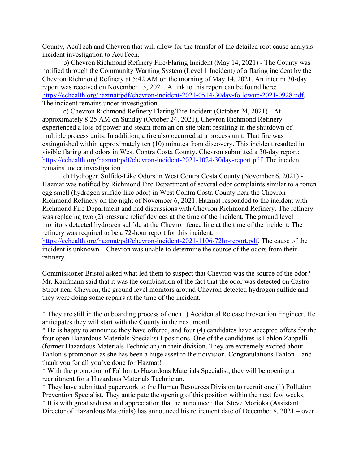County, AcuTech and Chevron that will allow for the transfer of the detailed root cause analysis incident investigation to AcuTech.

b) Chevron Richmond Refinery Fire/Flaring Incident (May 14, 2021) - The County was notified through the Community Warning System (Level 1 Incident) of a flaring incident by the Chevron Richmond Refinery at 5:42 AM on the morning of May 14, 2021. An interim 30-day report was received on November 15, 2021. A link to this report can be found here: [https://cchealth.org/hazmat/pdf/chevron-incident-2021-0514-30day-followup-2021-0928.pdf.](https://cchealth.org/hazmat/pdf/chevron-incident-2021-0514-30day-followup-2021-0928.pdf) The incident remains under investigation.

c) Chevron Richmond Refinery Flaring/Fire Incident (October 24, 2021) - At approximately 8:25 AM on Sunday (October 24, 2021), Chevron Richmond Refinery experienced a loss of power and steam from an on-site plant resulting in the shutdown of multiple process units. In addition, a fire also occurred at a process unit. That fire was extinguished within approximately ten (10) minutes from discovery. This incident resulted in visible flaring and odors in West Contra Costa County. Chevron submitted a 30-day report: [https://cchealth.org/hazmat/pdf/chevron-incident-2021-1024-30day-report.pdf.](https://cchealth.org/hazmat/pdf/chevron-incident-2021-1024-30day-report.pdf) The incident remains under investigation.

d) Hydrogen Sulfide-Like Odors in West Contra Costa County (November 6, 2021) - Hazmat was notified by Richmond Fire Department of several odor complaints similar to a rotten egg smell (hydrogen sulfide-like odor) in West Contra Costa County near the Chevron Richmond Refinery on the night of November 6, 2021. Hazmat responded to the incident with Richmond Fire Department and had discussions with Chevron Richmond Refinery. The refinery was replacing two (2) pressure relief devices at the time of the incident. The ground level monitors detected hydrogen sulfide at the Chevron fence line at the time of the incident. The refinery was required to be a 72-hour report for this incident:

[https://cchealth.org/hazmat/pdf/chevron-incident-2021-1106-72hr-report.pdf.](https://cchealth.org/hazmat/pdf/chevron-incident-2021-1106-72hr-report.pdf) The cause of the incident is unknown – Chevron was unable to determine the source of the odors from their refinery.

Commissioner Bristol asked what led them to suspect that Chevron was the source of the odor? Mr. Kaufmann said that it was the combination of the fact that the odor was detected on Castro Street near Chevron, the ground level monitors around Chevron detected hydrogen sulfide and they were doing some repairs at the time of the incident.

\* They are still in the onboarding process of one (1) Accidental Release Prevention Engineer. He anticipates they will start with the County in the next month.

\* He is happy to announce they have offered, and four (4) candidates have accepted offers for the four open Hazardous Materials Specialist I positions. One of the candidates is Fahlon Zappelli (former Hazardous Materials Technician) in their division. They are extremely excited about Fahlon's promotion as she has been a huge asset to their division. Congratulations Fahlon – and thank you for all you've done for Hazmat!

\* With the promotion of Fahlon to Hazardous Materials Specialist, they will be opening a recruitment for a Hazardous Materials Technician.

\* They have submitted paperwork to the Human Resources Division to recruit one (1) Pollution Prevention Specialist. They anticipate the opening of this position within the next few weeks. \* It is with great sadness and appreciation that he announced that Steve Morioka (Assistant Director of Hazardous Materials) has announced his retirement date of December 8, 2021 – over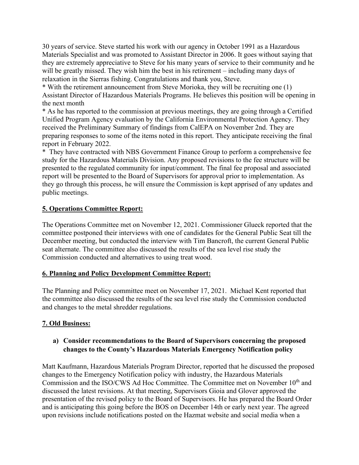30 years of service. Steve started his work with our agency in October 1991 as a Hazardous Materials Specialist and was promoted to Assistant Director in 2006. It goes without saying that they are extremely appreciative to Steve for his many years of service to their community and he will be greatly missed. They wish him the best in his retirement – including many days of relaxation in the Sierras fishing. Congratulations and thank you, Steve.

\* With the retirement announcement from Steve Morioka, they will be recruiting one (1) Assistant Director of Hazardous Materials Programs. He believes this position will be opening in the next month

\* As he has reported to the commission at previous meetings, they are going through a Certified Unified Program Agency evaluation by the California Environmental Protection Agency. They received the Preliminary Summary of findings from CalEPA on November 2nd. They are preparing responses to some of the items noted in this report. They anticipate receiving the final report in February 2022.

\* They have contracted with NBS Government Finance Group to perform a comprehensive fee study for the Hazardous Materials Division. Any proposed revisions to the fee structure will be presented to the regulated community for input/comment. The final fee proposal and associated report will be presented to the Board of Supervisors for approval prior to implementation. As they go through this process, he will ensure the Commission is kept apprised of any updates and public meetings.

### **5. Operations Committee Report:**

The Operations Committee met on November 12, 2021. Commissioner Glueck reported that the committee postponed their interviews with one of candidates for the General Public Seat till the December meeting, but conducted the interview with Tim Bancroft, the current General Public seat alternate. The committee also discussed the results of the sea level rise study the Commission conducted and alternatives to using treat wood.

### **6. Planning and Policy Development Committee Report:**

The Planning and Policy committee meet on November 17, 2021. Michael Kent reported that the committee also discussed the results of the sea level rise study the Commission conducted and changes to the metal shredder regulations.

### **7. Old Business:**

### **a) Consider recommendations to the Board of Supervisors concerning the proposed changes to the County's Hazardous Materials Emergency Notification policy**

Matt Kaufmann, Hazardous Materials Program Director, reported that he discussed the proposed changes to the Emergency Notification policy with industry, the Hazardous Materials Commission and the ISO/CWS Ad Hoc Committee. The Committee met on November 10<sup>th</sup> and discussed the latest revisions. At that meeting, Supervisors Gioia and Glover approved the presentation of the revised policy to the Board of Supervisors. He has prepared the Board Order and is anticipating this going before the BOS on December 14th or early next year. The agreed upon revisions include notifications posted on the Hazmat website and social media when a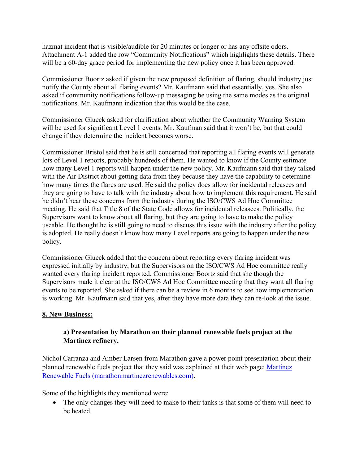hazmat incident that is visible/audible for 20 minutes or longer or has any offsite odors. Attachment A-1 added the row "Community Notifications" which highlights these details. There will be a 60-day grace period for implementing the new policy once it has been approved.

Commissioner Boortz asked if given the new proposed definition of flaring, should industry just notify the County about all flaring events? Mr. Kaufmann said that essentially, yes. She also asked if community notifications follow-up messaging be using the same modes as the original notifications. Mr. Kaufmann indication that this would be the case.

Commissioner Glueck asked for clarification about whether the Community Warning System will be used for significant Level 1 events. Mr. Kaufman said that it won't be, but that could change if they determine the incident becomes worse.

Commissioner Bristol said that he is still concerned that reporting all flaring events will generate lots of Level 1 reports, probably hundreds of them. He wanted to know if the County estimate how many Level 1 reports will happen under the new policy. Mr. Kaufmann said that they talked with the Air District about getting data from they because they have the capability to determine how many times the flares are used. He said the policy does allow for incidental releasees and they are going to have to talk with the industry about how to implement this requirement. He said he didn't hear these concerns from the industry during the ISO/CWS Ad Hoc Committee meeting. He said that Title 8 of the State Code allows for incidental releasees. Politically, the Supervisors want to know about all flaring, but they are going to have to make the policy useable. He thought he is still going to need to discuss this issue with the industry after the policy is adopted. He really doesn't know how many Level reports are going to happen under the new policy.

Commissioner Glueck added that the concern about reporting every flaring incident was expressed initially by industry, but the Supervisors on the ISO/CWS Ad Hoc committee really wanted every flaring incident reported. Commissioner Boortz said that she though the Supervisors made it clear at the ISO/CWS Ad Hoc Committee meeting that they want all flaring events to be reported. She asked if there can be a review in 6 months to see how implementation is working. Mr. Kaufmann said that yes, after they have more data they can re-look at the issue.

# **8. New Business:**

# **a) Presentation by Marathon on their planned renewable fuels project at the Martinez refinery.**

Nichol Carranza and Amber Larsen from Marathon gave a power point presentation about their planned renewable fuels project that they said was explained at their web page: [Martinez](https://www.marathonmartinezrenewables.com/)  [Renewable Fuels \(marathonmartinezrenewables.com\).](https://www.marathonmartinezrenewables.com/)

Some of the highlights they mentioned were:

• The only changes they will need to make to their tanks is that some of them will need to be heated.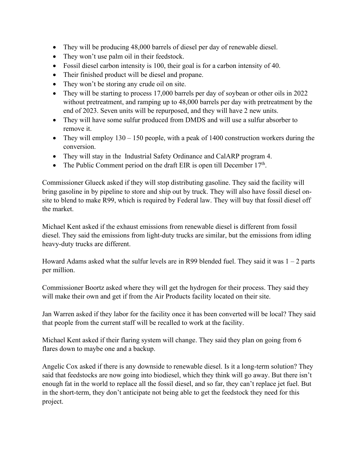- They will be producing 48,000 barrels of diesel per day of renewable diesel.
- They won't use palm oil in their feedstock.
- Fossil diesel carbon intensity is 100, their goal is for a carbon intensity of 40.
- Their finished product will be diesel and propane.
- They won't be storing any crude oil on site.
- They will be starting to process 17,000 barrels per day of soybean or other oils in 2022 without pretreatment, and ramping up to 48,000 barrels per day with pretreatment by the end of 2023. Seven units will be repurposed, and they will have 2 new units.
- They will have some sulfur produced from DMDS and will use a sulfur absorber to remove it.
- They will employ  $130 150$  people, with a peak of  $1400$  construction workers during the conversion.
- They will stay in the Industrial Safety Ordinance and CalARP program 4.
- The Public Comment period on the draft EIR is open till December  $17<sup>th</sup>$ .

Commissioner Glueck asked if they will stop distributing gasoline. They said the facility will bring gasoline in by pipeline to store and ship out by truck. They will also have fossil diesel onsite to blend to make R99, which is required by Federal law. They will buy that fossil diesel off the market.

Michael Kent asked if the exhaust emissions from renewable diesel is different from fossil diesel. They said the emissions from light-duty trucks are similar, but the emissions from idling heavy-duty trucks are different.

Howard Adams asked what the sulfur levels are in R99 blended fuel. They said it was  $1 - 2$  parts per million.

Commissioner Boortz asked where they will get the hydrogen for their process. They said they will make their own and get if from the Air Products facility located on their site.

Jan Warren asked if they labor for the facility once it has been converted will be local? They said that people from the current staff will be recalled to work at the facility.

Michael Kent asked if their flaring system will change. They said they plan on going from 6 flares down to maybe one and a backup.

Angelic Cox asked if there is any downside to renewable diesel. Is it a long-term solution? They said that feedstocks are now going into biodiesel, which they think will go away. But there isn't enough fat in the world to replace all the fossil diesel, and so far, they can't replace jet fuel. But in the short-term, they don't anticipate not being able to get the feedstock they need for this project.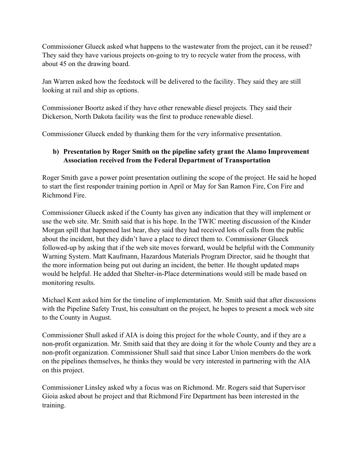Commissioner Glueck asked what happens to the wastewater from the project, can it be reused? They said they have various projects on-going to try to recycle water from the process, with about 45 on the drawing board.

Jan Warren asked how the feedstock will be delivered to the facility. They said they are still looking at rail and ship as options.

Commissioner Boortz asked if they have other renewable diesel projects. They said their Dickerson, North Dakota facility was the first to produce renewable diesel.

Commissioner Glueck ended by thanking them for the very informative presentation.

# **b) Presentation by Roger Smith on the pipeline safety grant the Alamo Improvement Association received from the Federal Department of Transportation**

Roger Smith gave a power point presentation outlining the scope of the project. He said he hoped to start the first responder training portion in April or May for San Ramon Fire, Con Fire and Richmond Fire.

Commissioner Glueck asked if the County has given any indication that they will implement or use the web site. Mr. Smith said that is his hope. In the TWIC meeting discussion of the Kinder Morgan spill that happened last hear, they said they had received lots of calls from the public about the incident, but they didn't have a place to direct them to. Commissioner Glueck followed-up by asking that if the web site moves forward, would be helpful with the Community Warning System. Matt Kaufmann, Hazardous Materials Program Director, said he thought that the more information being put out during an incident, the better. He thought updated maps would be helpful. He added that Shelter-in-Place determinations would still be made based on monitoring results.

Michael Kent asked him for the timeline of implementation. Mr. Smith said that after discussions with the Pipeline Safety Trust, his consultant on the project, he hopes to present a mock web site to the County in August.

Commissioner Shull asked if AIA is doing this project for the whole County, and if they are a non-profit organization. Mr. Smith said that they are doing it for the whole County and they are a non-profit organization. Commissioner Shull said that since Labor Union members do the work on the pipelines themselves, he thinks they would be very interested in partnering with the AIA on this project.

Commissioner Linsley asked why a focus was on Richmond. Mr. Rogers said that Supervisor Gioia asked about he project and that Richmond Fire Department has been interested in the training.